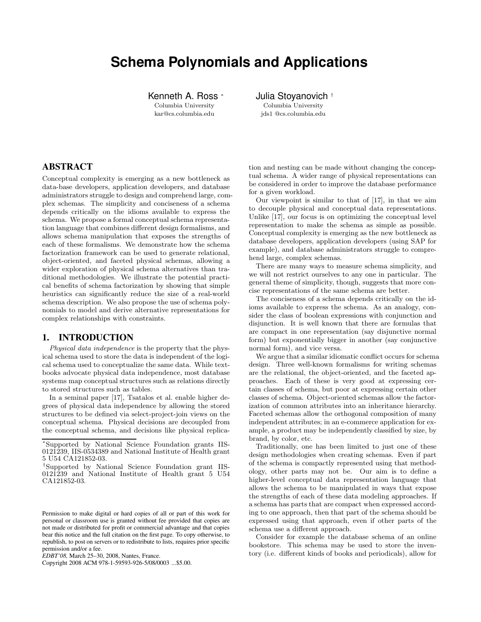# **Schema Polynomials and Applications**

Kenneth A. Ross <sup>∗</sup> Columbia University kar@cs.columbia.edu

Julia Stoyanovich † Columbia University jds1 @cs.columbia.edu

# **ABSTRACT**

Conceptual complexity is emerging as a new bottleneck as data-base developers, application developers, and database administrators struggle to design and comprehend large, complex schemas. The simplicity and conciseness of a schema depends critically on the idioms available to express the schema. We propose a formal conceptual schema representation language that combines different design formalisms, and allows schema manipulation that exposes the strengths of each of these formalisms. We demonstrate how the schema factorization framework can be used to generate relational, object-oriented, and faceted physical schemas, allowing a wider exploration of physical schema alternatives than traditional methodologies. We illustrate the potential practical benefits of schema factorization by showing that simple heuristics can significantly reduce the size of a real-world schema description. We also propose the use of schema polynomials to model and derive alternative representations for complex relationships with constraints.

# **1. INTRODUCTION**

Physical data independence is the property that the physical schema used to store the data is independent of the logical schema used to conceptualize the same data. While textbooks advocate physical data independence, most database systems map conceptual structures such as relations directly to stored structures such as tables.

In a seminal paper [17], Tsatalos et al. enable higher degrees of physical data independence by allowing the stored structures to be defined via select-project-join views on the conceptual schema. Physical decisions are decoupled from the conceptual schema, and decisions like physical replication and nesting can be made without changing the conceptual schema. A wider range of physical representations can be considered in order to improve the database performance for a given workload.

Our viewpoint is similar to that of [17], in that we aim to decouple physical and conceptual data representations. Unlike [17], our focus is on optimizing the conceptual level representation to make the schema as simple as possible. Conceptual complexity is emerging as the new bottleneck as database developers, application developers (using SAP for example), and database administrators struggle to comprehend large, complex schemas.

There are many ways to measure schema simplicity, and we will not restrict ourselves to any one in particular. The general theme of simplicity, though, suggests that more concise representations of the same schema are better.

The conciseness of a schema depends critically on the idioms available to express the schema. As an analogy, consider the class of boolean expressions with conjunction and disjunction. It is well known that there are formulas that are compact in one representation (say disjunctive normal form) but exponentially bigger in another (say conjunctive normal form), and vice versa.

We argue that a similar idiomatic conflict occurs for schema design. Three well-known formalisms for writing schemas are the relational, the object-oriented, and the faceted approaches. Each of these is very good at expressing certain classes of schema, but poor at expressing certain other classes of schema. Object-oriented schemas allow the factorization of common attributes into an inheritance hierarchy. Faceted schemas allow the orthogonal composition of many independent attributes; in an e-commerce application for example, a product may be independently classified by size, by brand, by color, etc.

Traditionally, one has been limited to just one of these design methodologies when creating schemas. Even if part of the schema is compactly represented using that methodology, other parts may not be. Our aim is to define a higher-level conceptual data representation language that allows the schema to be manipulated in ways that expose the strengths of each of these data modeling approaches. If a schema has parts that are compact when expressed according to one approach, then that part of the schema should be expressed using that approach, even if other parts of the schema use a different approach.

Consider for example the database schema of an online bookstore. This schema may be used to store the inventory (i.e. different kinds of books and periodicals), allow for

<sup>∗</sup>Supported by National Science Foundation grants IIS-0121239, IIS-0534389 and National Institute of Health grant 5 U54 CA121852-03.

<sup>†</sup>Supported by National Science Foundation grant IIS-0121239 and National Institute of Health grant 5 U54 CA121852-03.

Permission to make digital or hard copies of all or part of this work for personal or classroom use is granted without fee provided that copies are not made or distributed for profit or commercial advantage and that copies bear this notice and the full citation on the first page. To copy otherwise, to republish, to post on servers or to redistribute to lists, requires prior specific permission and/or a fee.

*EDBT'08,* March 25–30, 2008, Nantes, France.

Copyright 2008 ACM 978-1-59593-926-5/08/0003 ...\$5.00.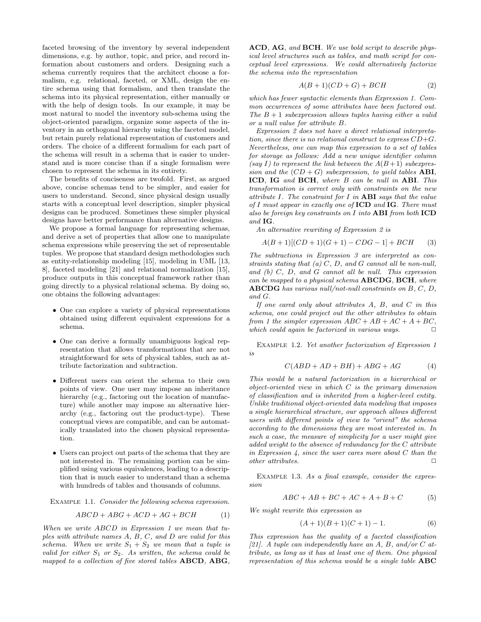faceted browsing of the inventory by several independent dimensions, e.g. by author, topic, and price, and record information about customers and orders. Designing such a schema currently requires that the architect choose a formalism, e.g. relational, faceted, or XML, design the entire schema using that formalism, and then translate the schema into its physical representation, either manually or with the help of design tools. In our example, it may be most natural to model the inventory sub-schema using the object-oriented paradigm, organize some aspects of the inventory in an orthogonal hierarchy using the faceted model, but retain purely relational representation of customers and orders. The choice of a different formalism for each part of the schema will result in a schema that is easier to understand and is more concise than if a single formalism were chosen to represent the schema in its entirety.

The benefits of conciseness are twofold. First, as argued above, concise schemas tend to be simpler, and easier for users to understand. Second, since physical design usually starts with a conceptual level description, simpler physical designs can be produced. Sometimes these simpler physical designs have better performance than alternative designs.

We propose a formal language for representing schemas, and derive a set of properties that allow one to manipulate schema expressions while preserving the set of representable tuples. We propose that standard design methodologies such as entity-relationship modeling [15], modeling in UML [13, 8], faceted modeling [21] and relational normalization [15], produce outputs in this conceptual framework rather than going directly to a physical relational schema. By doing so, one obtains the following advantages:

- One can explore a variety of physical representations obtained using different equivalent expressions for a schema.
- One can derive a formally unambiguous logical representation that allows transformations that are not straightforward for sets of physical tables, such as attribute factorization and subtraction.
- Different users can orient the schema to their own points of view. One user may impose an inheritance hierarchy (e.g., factoring out the location of manufacture) while another may impose an alternative hierarchy (e.g., factoring out the product-type). These conceptual views are compatible, and can be automatically translated into the chosen physical representation.
- Users can project out parts of the schema that they are not interested in. The remaining portion can be simplified using various equivalences, leading to a description that is much easier to understand than a schema with hundreds of tables and thousands of columns.

EXAMPLE 1.1. Consider the following schema expression.

$$
ABCD + ABG + ACD + AG + BCH \tag{1}
$$

When we write ABCD in Expression 1 we mean that tuples with attribute names A, B, C, and D are valid for this schema. When we write  $S_1 + S_2$  we mean that a tuple is valid for either  $S_1$  or  $S_2$ . As written, the schema could be mapped to a collection of five stored tables ABCD, ABG,

ACD, AG, and BCH. We use bold script to describe physical level structures such as tables, and math script for conceptual level expressions. We could alternatively factorize the schema into the representation

$$
A(B+1)(CD+G) + BCH \tag{2}
$$

which has fewer syntactic elements than Expression 1. Common occurrences of some attributes have been factored out. The  $B + 1$  subexpression allows tuples having either a valid or a null value for attribute B.

Expression 2 does not have a direct relational interpretation, since there is no relational construct to express  $CD+G$ . Nevertheless, one can map this expression to a set of tables for storage as follows: Add a new unique identifier column (say I) to represent the link between the  $A(B+1)$  subexpression and the  $(CD + G)$  subexpression, to yield tables **ABI**, ICD, IG and BCH, where B can be null in ABI. This transformation is correct only with constraints on the new attribute  $I$ . The constraint for  $I$  in **ABI** says that the value of I must appear in exactly one of  $\text{ICD}$  and  $\text{IG.}$  There must also be foreign key constraints on I into ABI from both ICD and IG.

An alternative rewriting of Expression 2 is

$$
A(B+1)[(CD+1)(G+1) - CDG - 1] + BCH \qquad (3)
$$

The subtractions in Expression 3 are interpreted as constraints stating that  $(a) C, D, and G$  cannot all be non-null, and  $(b)$   $C$ ,  $D$ , and  $G$  cannot all be null. This expression can be mapped to a physical schema ABCDG, BCH, where ABCDG has various null/not-null constraints on B, C, D, and G.

If one cared only about attributes A, B, and C in this schema, one could project out the other attributes to obtain from 1 the simpler expression  $ABC + AB + AC + A + BC$ . which could again be factorized in various ways.  $\Box$ 

Example 1.2. Yet another factorization of Expression 1 is

$$
C(ABD + AD + BH) + ABG + AG \tag{4}
$$

This would be a natural factorization in a hierarchical or  $object-oriented\ view\ in\ which\ C\ is\ the\ primary\ dimension$ of classification and is inherited from a higher-level entity. Unlike traditional object-oriented data modeling that imposes a single hierarchical structure, our approach allows different users with different points of view to "orient" the schema according to the dimensions they are most interested in. In such a case, the measure of simplicity for a user might give added weight to the absence of redundancy for the C attribute in Expression  $\lambda$ , since the user cares more about C than the  $other \ attributes.$ 

EXAMPLE 1.3. As a final example, consider the expression

$$
ABC + AB + BC + AC + A + B + C \tag{5}
$$

We might rewrite this expression as

$$
(A+1)(B+1)(C+1) - 1.\t\t(6)
$$

This expression has the quality of a faceted classification [21]. A tuple can independently have an A, B, and/or C attribute, as long as it has at least one of them. One physical representation of this schema would be a single table ABC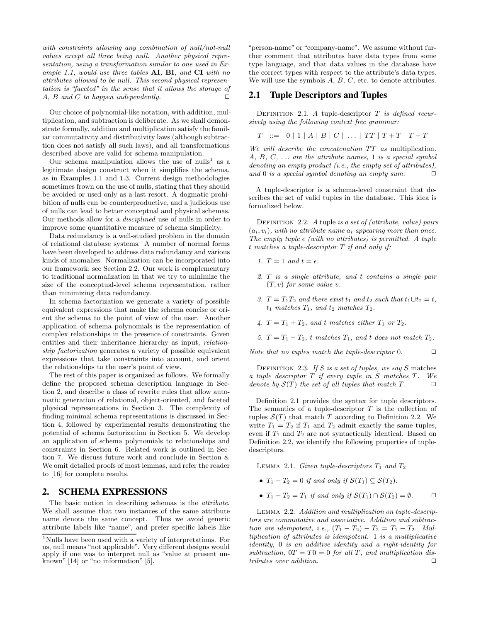with constraints allowing any combination of null/not-null values except all three being null. Another physical representation, using a transformation similar to one used in Example 1.1, would use three tables AI, BI, and CI with no attributes allowed to be null. This second physical representation is "faceted" in the sense that it allows the storage of A, B and C to happen independently.  $\Box$ 

Our choice of polynomial-like notation, with addition, multiplication, and subtraction is deliberate. As we shall demonstrate formally, addition and multiplication satisfy the familiar commutativity and distributivity laws (although subtraction does not satisfy all such laws), and all transformations described above are valid for schema manipulation.

Our schema manipulation allows the use of nulls<sup>1</sup> as a legitimate design construct when it simplifies the schema, as in Examples 1.1 and 1.3. Current design methodologies sometimes frown on the use of nulls, stating that they should be avoided or used only as a last resort. A dogmatic prohibition of nulls can be counterproductive, and a judicious use of nulls can lead to better conceptual and physical schemas. Our methods allow for a disciplined use of nulls in order to improve some quantitative measure of schema simplicity.

Data redundancy is a well-studied problem in the domain of relational database systems. A number of normal forms have been developed to address data redundancy and various kinds of anomalies. Normalization can be incorporated into our framework; see Section 2.2. Our work is complementary to traditional normalization in that we try to minimize the size of the conceptual-level schema representation, rather than minimizing data redundancy.

In schema factorization we generate a variety of possible equivalent expressions that make the schema concise or orient the schema to the point of view of the user. Another application of schema polynomials is the representation of complex relationships in the presence of constraints. Given entities and their inheritance hierarchy as input, relationship factorization generates a variety of possible equivalent expressions that take constraints into account, and orient the relationships to the user's point of view.

The rest of this paper is organized as follows. We formally define the proposed schema description language in Section 2, and describe a class of rewrite rules that allow automatic generation of relational, object-oriented, and faceted physical representations in Section 3. The complexity of finding minimal schema representations is discussed in Section 4, followed by experimental results demonstrating the potential of schema factorization in Section 5. We develop an application of schema polynomials to relationships and constraints in Section 6. Related work is outlined in Section 7. We discuss future work and conclude in Section 8. We omit detailed proofs of most lemmas, and refer the reader to [16] for complete results.

# **2. SCHEMA EXPRESSIONS**

The basic notion in describing schemas is the attribute. We shall assume that two instances of the same attribute name denote the same concept. Thus we avoid generic attribute labels like "name", and prefer specific labels like "person-name" or "company-name". We assume without further comment that attributes have data types from some type language, and that data values in the database have the correct types with respect to the attribute's data types. We will use the symbols A, B, C, etc. to denote attributes.

# **2.1 Tuple Descriptors and Tuples**

DEFINITION 2.1. A tuple-descriptor  $T$  is defined recursively using the following context free grammar:

$$
T \ ::= \ 0 \ | \ 1 \ | \ A \ | \ B \ | \ C \ | \ \dots \ | \ TT \ | \ T + T \ | \ T - T
$$

We will describe the concatenation  $TT$  as multiplication. A,  $B, C, \ldots$  are the attribute names, 1 is a special symbol denoting an empty product (i.e., the empty set of attributes), and 0 is a special symbol denoting an empty sum.  $\Box$ 

A tuple-descriptor is a schema-level constraint that describes the set of valid tuples in the database. This idea is formalized below.

DEFINITION 2.2. A tuple is a set of (attribute, value) pairs  $(a_i, v_i)$ , with no attribute name  $a_i$  appearing more than once. The empty tuple  $\epsilon$  (with no attributes) is permitted. A tuple t matches a tuple-descriptor T if and only if:

- 1.  $T = 1$  and  $t = \epsilon$ .
- 2. T is a single attribute, and t contains a single pair  $(T, v)$  for some value v.
- 3.  $T = T_1T_2$  and there exist  $t_1$  and  $t_2$  such that  $t_1 \cup t_2 = t$ ,  $t_1$  matches  $T_1$ , and  $t_2$  matches  $T_2$ .
- 4.  $T = T_1 + T_2$ , and t matches either  $T_1$  or  $T_2$ .
- 5.  $T = T_1 T_2$ , t matches  $T_1$ , and t does not match  $T_2$ .

Note that no tuples match the tuple-descriptor  $0.$ 

DEFINITION 2.3. If S is a set of tuples, we say S matches a tuple descriptor T if every tuple in S matches T. We denote by  $\mathcal{S}(T)$  the set of all tuples that match T.  $\Box$ 

Definition 2.1 provides the syntax for tuple descriptors. The semantics of a tuple-descriptor  $T$  is the collection of tuples  $\mathcal{S}(T)$  that match T according to Definition 2.2. We write  $T_1 = T_2$  if  $T_1$  and  $T_2$  admit exactly the same tuples, even if  $T_1$  and  $T_2$  are not syntactically identical. Based on Definition 2.2, we identify the following properties of tupledescriptors.

LEMMA 2.1. Given tuple-descriptors  $T_1$  and  $T_2$ 

- $T_1 T_2 = 0$  if and only if  $\mathcal{S}(T_1) \subset \mathcal{S}(T_2)$ .
- $T_1 T_2 = T_1$  if and only if  $\mathcal{S}(T_1) \cap \mathcal{S}(T_2) = \emptyset$ .  $\Box$

Lemma 2.2. Addition and multiplication on tuple-descriptors are commutative and associative. Addition and subtraction are idempotent, i.e.,  $(T_1 - T_2) - T_2 = T_1 - T_2$ . Multiplication of attributes is idempotent. 1 is a multiplicative identity, 0 is an additive identity and a right-identity for subtraction,  $0T = T0 = 0$  for all T, and multiplication distributes over addition.  $\Box$ 

<sup>1</sup>Nulls have been used with a variety of interpretations. For us, null means "not applicable". Very different designs would apply if one was to interpret null as "value at present unknown" [14] or "no information" [5].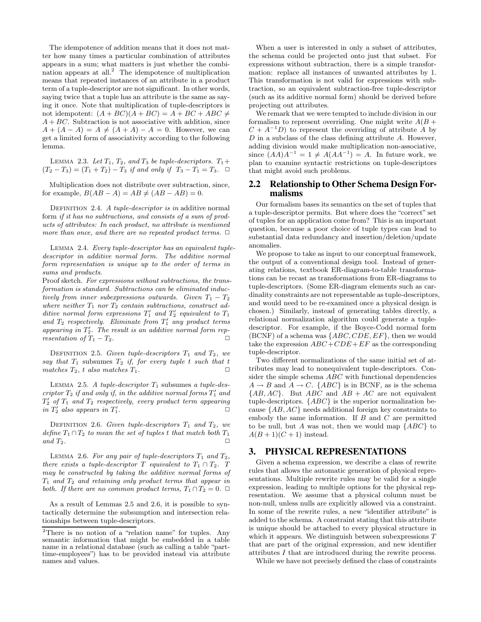The idempotence of addition means that it does not matter how many times a particular combination of attributes appears in a sum; what matters is just whether the combination appears at all.<sup>2</sup> The idempotence of multiplication means that repeated instances of an attribute in a product term of a tuple-descriptor are not significant. In other words, saying twice that a tuple has an attribute is the same as saying it once. Note that multiplication of tuple-descriptors is not idempotent:  $(A + BC)(A + BC) = A + BC + ABC \neq$  $A + BC$ . Subtraction is not associative with addition, since  $A + (A - A) = A \neq (A + A) - A = 0$ . However, we can get a limited form of associativity according to the following lemma.

LEMMA 2.3. Let  $T_1$ ,  $T_2$ , and  $T_3$  be tuple-descriptors.  $T_1 +$  $(T_2 - T_3) = (T_1 + T_2) - T_3$  if and only if  $T_3 - T_1 = T_3$ .  $\Box$ 

Multiplication does not distribute over subtraction, since, for example,  $B(AB - A) = AB \neq (AB - AB) = 0$ .

DEFINITION 2.4. A tuple-descriptor is in additive normal form if it has no subtractions, and consists of a sum of products of attributes: In each product, no attribute is mentioned more than once, and there are no repeated product terms.  $\Box$ 

Lemma 2.4. Every tuple-descriptor has an equivalent tupledescriptor in additive normal form. The additive normal form representation is unique up to the order of terms in sums and products.

Proof sketch. For expressions without subtractions, the transformation is standard. Subtractions can be eliminated inductively from inner subexpressions outwards. Given  $T_1 - T_2$ where neither  $T_1$  nor  $T_2$  contain subtractions, construct additive normal form expressions  $T'_1$  and  $T'_2$  equivalent to  $T_1$ and  $T_2$  respectively. Eliminate from  $T_1'$  any product terms appearing in  $T_2'$ . The result is an additive normal form representation of  $T_1 - T_2$ .

DEFINITION 2.5. Given tuple-descriptors  $T_1$  and  $T_2$ , we say that  $T_1$  subsumes  $T_2$  if, for every tuple t such that t matches  $T_2$ , t also matches  $T_1$ .

LEMMA 2.5. A tuple-descriptor  $T_1$  subsumes a tuple-descriptor  $T_2$  if and only if, in the additive normal forms  $T_1'$  and  $T_2'$  of  $T_1$  and  $T_2$  respectively, every product term appearing in  $T_2'$  also appears in  $T_1'$  $\frac{1}{1}$ .

DEFINITION 2.6. Given tuple-descriptors  $T_1$  and  $T_2$ , we define  $T_1 \cap T_2$  to mean the set of tuples t that match both  $T_1$ and  $T_2$ .

LEMMA 2.6. For any pair of tuple-descriptors  $T_1$  and  $T_2$ , there exists a tuple-descriptor T equivalent to  $T_1 \cap T_2$ . T may be constructed by taking the additive normal forms of  $T_1$  and  $T_2$  and retaining only product terms that appear in both. If there are no common product terms,  $T_1 \cap T_2 = 0$ .  $\Box$ 

As a result of Lemmas 2.5 and 2.6, it is possible to syntactically determine the subsumption and intersection relationships between tuple-descriptors.

When a user is interested in only a subset of attributes, the schema could be projected onto just that subset. For expressions without subtraction, there is a simple transformation: replace all instances of unwanted attributes by 1. This transformation is not valid for expressions with subtraction, so an equivalent subtraction-free tuple-descriptor (such as its additive normal form) should be derived before projecting out attributes.

We remark that we were tempted to include division in our formalism to represent overriding. One might write  $A(B +$  $C + A^{-1}D$  to represent the overriding of attribute A by  $D$  in a subclass of the class defining attribute  $A$ . However, adding division would make multiplication non-associative, since  $(AA)A^{-1} = 1 \neq A(AA^{-1}) = A$ . In future work, we plan to examine syntactic restrictions on tuple-descriptors that might avoid such problems.

# **2.2 Relationship to Other Schema Design Formalisms**

Our formalism bases its semantics on the set of tuples that a tuple-descriptor permits. But where does the "correct" set of tuples for an application come from? This is an important question, because a poor choice of tuple types can lead to substantial data redundancy and insertion/deletion/update anomalies.

We propose to take as input to our conceptual framework, the output of a conventional design tool. Instead of generating relations, textbook ER-diagram-to-table transformations can be recast as transformations from ER-diagrams to tuple-descriptors. (Some ER-diagram elements such as cardinality constraints are not representable as tuple-descriptors, and would need to be re-examined once a physical design is chosen.) Similarly, instead of generating tables directly, a relational normalization algorithm could generate a tupledescriptor. For example, if the Boyce-Codd normal form (BCNF) of a schema was  $\{ABC, CDE, EF\}$ , then we would take the expression  $ABC + CDE + EF$  as the corresponding tuple-descriptor.

Two different normalizations of the same initial set of attributes may lead to nonequivalent tuple-descriptors. Consider the simple schema ABC with functional dependencies  $A \rightarrow B$  and  $A \rightarrow C$ . {ABC} is in BCNF, as is the schema  ${AB, AC}$ . But  $ABC$  and  $AB + AC$  are not equivalent tuple-descriptors.  $\{ABC\}$  is the superior normalization because {AB, AC} needs additional foreign key constraints to embody the same information. If  $B$  and  $C$  are permitted to be null, but  $A$  was not, then we would map  $\{ABC\}$  to  $A(B+1)(C+1)$  instead.

# **3. PHYSICAL REPRESENTATIONS**

Given a schema expression, we describe a class of rewrite rules that allows the automatic generation of physical representations. Multiple rewrite rules may be valid for a single expression, leading to multiple options for the physical representation. We assume that a physical column must be non-null, unless nulls are explicitly allowed via a constraint. In some of the rewrite rules, a new "identifier attribute" is added to the schema. A constraint stating that this attribute is unique should be attached to every physical structure in which it appears. We distinguish between subexpressions T that are part of the original expression, and new identifier attributes I that are introduced during the rewrite process.

While we have not precisely defined the class of constraints

<sup>2</sup>There is no notion of a "relation name" for tuples. Any semantic information that might be embedded in a table name in a relational database (such as calling a table "parttime-employees") has to be provided instead via attribute names and values.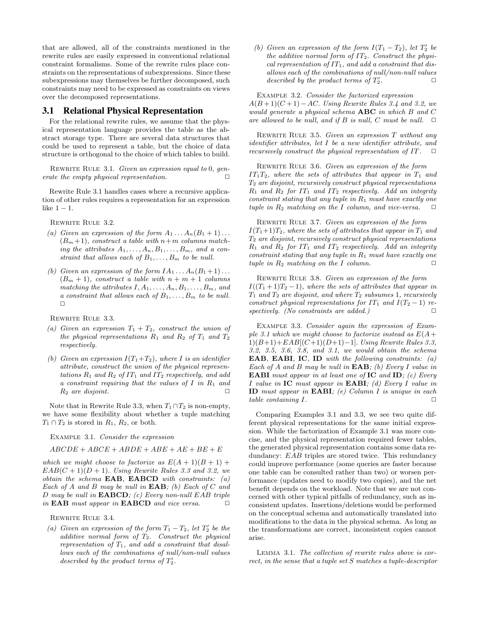that are allowed, all of the constraints mentioned in the rewrite rules are easily expressed in conventional relational constraint formalisms. Some of the rewrite rules place constraints on the representations of subexpressions. Since these subexpressions may themselves be further decomposed, such constraints may need to be expressed as constraints on views over the decomposed representations.

## **3.1 Relational Physical Representation**

For the relational rewrite rules, we assume that the physical representation language provides the table as the abstract storage type. There are several data structures that could be used to represent a table, but the choice of data structure is orthogonal to the choice of which tables to build.

REWRITE RULE 3.1. Given an expression equal to 0, generate the empty physical representation.  $\Box$ 

Rewrite Rule 3.1 handles cases where a recursive application of other rules requires a representation for an expression like  $1 - 1$ .

REWRITE RULE 3.2.

- (a) Given an expression of the form  $A_1 \ldots A_n (B_1 + 1) \ldots$  $(B_m+1)$ , construct a table with  $n+m$  columns matching the attributes  $A_1, \ldots, A_n, B_1, \ldots, B_m$ , and a constraint that allows each of  $B_1, \ldots, B_m$  to be null.
- (b) Given an expression of the form  $IA_1 \ldots A_n(B_1+1) \ldots$  $(B_m + 1)$ , construct a table with  $n + m + 1$  columns matching the attributes  $I, A_1, \ldots, A_n, B_1, \ldots, B_m$ , and a constraint that allows each of  $B_1, \ldots, B_m$  to be null.  $\Box$

REWRITE RULE 3.3.

- (a) Given an expression  $T_1 + T_2$ , construct the union of the physical representations  $R_1$  and  $R_2$  of  $T_1$  and  $T_2$ respectively.
- (b) Given an expression  $I(T_1+T_2)$ , where I is an identifier attribute, construct the union of the physical representations  $R_1$  and  $R_2$  of  $IT_1$  and  $IT_2$  respectively, and add a constraint requiring that the values of I in  $R_1$  and  $R_2$  are disjoint.  $\square$

Note that in Rewrite Rule 3.3, when  $T_1 \cap T_2$  is non-empty, we have some flexibility about whether a tuple matching  $T_1 \cap T_2$  is stored in  $R_1$ ,  $R_2$ , or both.

Example 3.1. Consider the expression

 $ABCDE + ABCE + ABDE + ABE + AE + BE + E$ 

which we might choose to factorize as  $E(A+1)(B+1)$  +  $EAB(C+1)(D+1)$ . Using Rewrite Rules 3.3 and 3.2, we obtain the schema  $EAB$ ,  $EABCD$  with constraints: (a) Each of A and B may be null in  $EAB$ ; (b) Each of C and D may be null in  $EABCD$ ; (c) Every non-null EAB triple in EAB must appear in EABCD and vice versa.  $\Box$ 

REWRITE RULE 3.4.

(a) Given an expression of the form  $T_1 - T_2$ , let  $T_2'$  be the additive normal form of  $T_2$ . Construct the physical representation of  $T_1$ , and add a constraint that disallows each of the combinations of null/non-null values described by the product terms of  $T_2'$ .

(b) Given an expression of the form  $I(T_1 - T_2)$ , let  $T_2$  be the additive normal form of  $IT_2$ . Construct the physical representation of  $IT_1$ , and add a constraint that disallows each of the combinations of null/non-null values described by the product terms of  $T_2'$  $\frac{1}{2}$ .

#### Example 3.2. Consider the factorized expression

 $A(B+1)(C+1) - AC$ . Using Rewrite Rules 3.4 and 3.2, we would generate a physical schema  $ABC$  in which B and C are allowed to be null, and if B is null, C must be null.  $\Box$ 

REWRITE RULE 3.5. Given an expression  $T$  without any identifier attributes, let I be a new identifier attribute, and recursively construct the physical representation of IT.  $\Box$ 

REWRITE RULE 3.6. Given an expression of the form  $IT_1T_2$ , where the sets of attributes that appear in  $T_1$  and  $T_2$  are disjoint, recursively construct physical representations  $R_1$  and  $R_2$  for  $IT_1$  and  $IT_2$  respectively. Add an integrity constraint stating that any tuple in  $R_1$  must have exactly one tuple in  $R_2$  matching on the I column, and vice-versa.

REWRITE RULE 3.7. Given an expression of the form  $I(T_1+1)T_2$ , where the sets of attributes that appear in  $T_1$  and  $T_2$  are disjoint, recursively construct physical representations  $R_1$  and  $R_2$  for  $IT_1$  and  $IT_2$  respectively. Add an integrity constraint stating that any tuple in  $R_1$  must have exactly one tuple in  $R_2$  matching on the I column.

REWRITE RULE 3.8. Given an expression of the form  $I((T_1+1)T_2-1)$ , where the sets of attributes that appear in  $T_1$  and  $T_2$  are disjoint, and where  $T_2$  subsumes 1, recursively construct physical representations for  $IT_1$  and  $I(T_2 - 1)$  respectively. (No constraints are added.)  $\Box$ 

EXAMPLE 3.3. Consider again the expression of Example 3.1 which we might choose to factorize instead as  $E(A +$  $1)(B+1)+EAB[(C+1)(D+1)-1]$ . Using Rewrite Rules 3.3, 3.2, 3.5, 3.6, 3.8, and 3.1, we would obtain the schema EAB, EABI, IC, ID with the following constraints: (a) Each of A and B may be null in  $EAB$ ; (b) Every I value in **EABI** must appear in at least one of  $IC$  and  $ID$ ; (c) Every I value in  $IC$  must appear in EABI; (d) Every I value in ID must appear in **EABI**; (e) Column I is unique in each table containing  $I$ .

Comparing Examples 3.1 and 3.3, we see two quite different physical representations for the same initial expression. While the factorization of Example 3.1 was more concise, and the physical representation required fewer tables, the generated physical representation contains some data redundancy: EAB triples are stored twice. This redundancy could improve performance (some queries are faster because one table can be consulted rather than two) or worsen performance (updates need to modify two copies), and the net benefit depends on the workload. Note that we are not concerned with other typical pitfalls of redundancy, such as inconsistent updates. Insertions/deletions would be performed on the conceptual schema and automatically translated into modifications to the data in the physical schema. As long as the transformations are correct, inconsistent copies cannot arise.

Lemma 3.1. The collection of rewrite rules above is correct, in the sense that a tuple set S matches a tuple-descriptor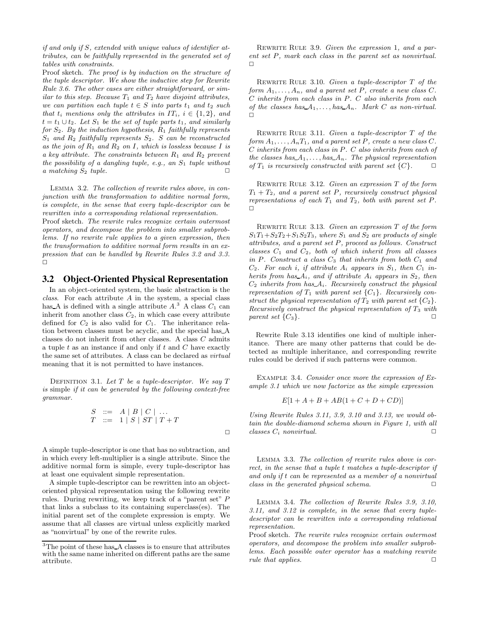if and only if S, extended with unique values of identifier attributes, can be faithfully represented in the generated set of tables with constraints.

Proof sketch. The proof is by induction on the structure of the tuple descriptor. We show the inductive step for Rewrite Rule 3.6. The other cases are either straightforward, or similar to this step. Because  $T_1$  and  $T_2$  have disjoint attributes, we can partition each tuple  $t \in S$  into parts  $t_1$  and  $t_2$  such that  $t_i$  mentions only the attributes in  $IT_i$ ,  $i \in \{1,2\}$ , and  $t = t_1 \cup t_2$ . Let  $S_1$  be the set of tuple parts  $t_1$ , and similarly for  $S_2$ . By the induction hypothesis,  $R_1$  faithfully represents  $S_1$  and  $R_2$  faithfully represents  $S_2$ . S can be reconstructed as the join of  $R_1$  and  $R_2$  on I, which is lossless because I is a key attribute. The constraints between  $R_1$  and  $R_2$  prevent the possibility of a dangling tuple, e.g., an  $S_1$  tuple without a matching  $S_2$  tuple.  $\Box$ 

Lemma 3.2. The collection of rewrite rules above, in conjunction with the transformation to additive normal form, is complete, in the sense that every tuple-descriptor can be rewritten into a corresponding relational representation.

Proof sketch. The rewrite rules recognize certain outermost operators, and decompose the problem into smaller subproblems. If no rewrite rule applies to a given expression, then the transformation to additive normal form results in an expression that can be handled by Rewrite Rules 3.2 and 3.3.  $\Box$ 

#### **3.2 Object-Oriented Physical Representation**

In an object-oriented system, the basic abstraction is the *class.* For each attribute  $A$  in the system, a special class has A is defined with a single attribute  $A$ <sup>3</sup> A class  $C_1$  can inherit from another class  $C_2$ , in which case every attribute defined for  $C_2$  is also valid for  $C_1$ . The inheritance relation between classes must be acyclic, and the special has A classes do not inherit from other classes. A class C admits a tuple t as an instance if and only if t and  $C$  have exactly the same set of attributes. A class can be declared as virtual meaning that it is not permitted to have instances.

DEFINITION 3.1. Let  $T$  be a tuple-descriptor. We say  $T$ is simple if it can be generated by the following context-free grammar.

$$
\begin{array}{rcl}\nS & ::= & A \mid B \mid C \mid \dots \\
T & ::= & 1 \mid S \mid ST \mid T + T\n\end{array}
$$

A simple tuple-descriptor is one that has no subtraction, and in which every left-multiplier is a single attribute. Since the additive normal form is simple, every tuple-descriptor has at least one equivalent simple representation.

A simple tuple-descriptor can be rewritten into an objectoriented physical representation using the following rewrite rules. During rewriting, we keep track of a "parent set" P that links a subclass to its containing superclass(es). The initial parent set of the complete expression is empty. We assume that all classes are virtual unless explicitly marked as "nonvirtual" by one of the rewrite rules.

REWRITE RULE 3.9. Given the expression 1, and a parent set P, mark each class in the parent set as nonvirtual.  $\Box$ 

REWRITE RULE 3.10. Given a tuple-descriptor  $T$  of the form  $A_1, \ldots, A_n$ , and a parent set P, create a new class C. C inherits from each class in P. C also inherits from each of the classes has  $A_1, \ldots, has A_n$ . Mark C as non-virtual.  $\Box$ 

REWRITE RULE 3.11. Given a tuple-descriptor  $T$  of the form  $A_1, \ldots, A_nT_1$ , and a parent set P, create a new class C. C inherits from each class in P. C also inherits from each of the classes has  $A_1, \ldots, has_{n} A_n$ . The physical representation of  $T_1$  is recursively constructed with parent set  $\{C\}$ .

REWRITE RULE 3.12. Given an expression  $T$  of the form  $T_1 + T_2$ , and a parent set P, recursively construct physical representations of each  $T_1$  and  $T_2$ , both with parent set P.  $\Box$ 

REWRITE RULE 3.13. Given an expression  $T$  of the form  $S_1T_1+S_2T_2+S_1S_2T_3$ , where  $S_1$  and  $S_2$  are products of single attributes, and a parent set P, proceed as follows. Construct classes  $C_1$  and  $C_2$ , both of which inherit from all classes in P. Construct a class  $C_3$  that inherits from both  $C_1$  and  $C_2$ . For each i, if attribute  $A_i$  appears in  $S_1$ , then  $C_1$  inherits from has  $A_i$ , and if attribute  $A_i$  appears in  $S_2$ , then  $C_2$  inherits from has  $A_i$ . Recursively construct the physical representation of  $T_1$  with parent set  $\{C_1\}$ . Recursively construct the physical representation of  $T_2$  with parent set  $\{C_2\}$ . Recursively construct the physical representation of  $T_3$  with parent set  $\{C_3\}$ .

Rewrite Rule 3.13 identifies one kind of multiple inheritance. There are many other patterns that could be detected as multiple inheritance, and corresponding rewrite rules could be derived if such patterns were common.

EXAMPLE 3.4. Consider once more the expression of Example 3.1 which we now factorize as the simple expression

$$
E[1+A+B+AB(1+C+D+CD)]
$$

Using Rewrite Rules 3.11, 3.9, 3.10 and 3.13, we would obtain the double-diamond schema shown in Figure 1, with all classes  $C_i$  nonvirtual.

Lemma 3.3. The collection of rewrite rules above is correct, in the sense that a tuple t matches a tuple-descriptor if and only if t can be represented as a member of a nonvirtual class in the generated physical schema.  $\Box$ 

Lemma 3.4. The collection of Rewrite Rules 3.9, 3.10, 3.11, and 3.12 is complete, in the sense that every tupledescriptor can be rewritten into a corresponding relational representation.

Proof sketch. The rewrite rules recognize certain outermost operators, and decompose the problem into smaller subproblems. Each possible outer operator has a matching rewrite rule that applies.  $\Box$ 

 $3$ The point of these has  $A$  classes is to ensure that attributes with the same name inherited on different paths are the same attribute.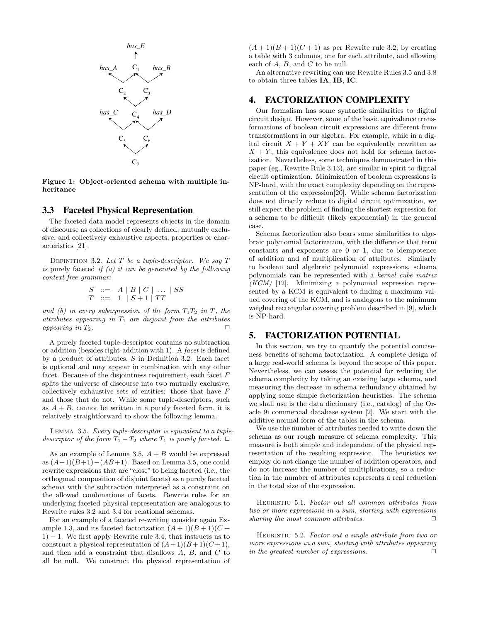

Figure 1: Object-oriented schema with multiple inheritance

## **3.3 Faceted Physical Representation**

The faceted data model represents objects in the domain of discourse as collections of clearly defined, mutually exclusive, and collectively exhaustive aspects, properties or characteristics [21].

DEFINITION 3.2. Let  $T$  be a tuple-descriptor. We say  $T$ is purely faceted if  $(a)$  it can be generated by the following context-free grammar:

$$
\begin{array}{rcl} S & ::= & A \mid B \mid C \mid \ldots \mid SS \\ T & ::= & 1 \mid S+1 \mid TT \end{array}
$$

and (b) in every subexpression of the form  $T_1T_2$  in T, the attributes appearing in  $T_1$  are disjoint from the attributes appearing in  $T_2$ .

A purely faceted tuple-descriptor contains no subtraction or addition (besides right-addition with 1). A facet is defined by a product of attributes, S in Definition 3.2. Each facet is optional and may appear in combination with any other facet. Because of the disjointness requirement, each facet F splits the universe of discourse into two mutually exclusive, collectively exhaustive sets of entities: those that have  $F$ and those that do not. While some tuple-descriptors, such as  $A + B$ , cannot be written in a purely faceted form, it is relatively straightforward to show the following lemma.

Lemma 3.5. Every tuple-descriptor is equivalent to a tupledescriptor of the form  $T_1 - T_2$  where  $T_1$  is purely faceted.  $\Box$ 

As an example of Lemma 3.5,  $A + B$  would be expressed as  $(A+1)(B+1)-(AB+1)$ . Based on Lemma 3.5, one could rewrite expressions that are "close" to being faceted (i.e., the orthogonal composition of disjoint facets) as a purely faceted schema with the subtraction interpreted as a constraint on the allowed combinations of facets. Rewrite rules for an underlying faceted physical representation are analogous to Rewrite rules 3.2 and 3.4 for relational schemas.

For an example of a faceted re-writing consider again Example 1.3, and its faceted factorization  $(A+1)(B+1)(C+$  $1) - 1$ . We first apply Rewrite rule 3.4, that instructs us to construct a physical representation of  $(A+1)(B+1)(C+1)$ , and then add a constraint that disallows  $A, B$ , and  $C$  to all be null. We construct the physical representation of  $(A+1)(B+1)(C+1)$  as per Rewrite rule 3.2, by creating a table with 3 columns, one for each attribute, and allowing each of  $A, B$ , and  $C$  to be null.

An alternative rewriting can use Rewrite Rules 3.5 and 3.8 to obtain three tables IA, IB, IC.

# **4. FACTORIZATION COMPLEXITY**

Our formalism has some syntactic similarities to digital circuit design. However, some of the basic equivalence transformations of boolean circuit expressions are different from transformations in our algebra. For example, while in a digital circuit  $X + Y + XY$  can be equivalently rewritten as  $X + Y$ , this equivalence does not hold for schema factorization. Nevertheless, some techniques demonstrated in this paper (eg., Rewrite Rule 3.13), are similar in spirit to digital circuit optimization. Minimization of boolean expressions is NP-hard, with the exact complexity depending on the representation of the expression[20]. While schema factorization does not directly reduce to digital circuit optimization, we still expect the problem of finding the shortest expression for a schema to be difficult (likely exponential) in the general case.

Schema factorization also bears some similarities to algebraic polynomial factorization, with the difference that term constants and exponents are 0 or 1, due to idempotence of addition and of multiplication of attributes. Similarly to boolean and algebraic polynomial expressions, schema polynomials can be represented with a kernel cube matrix (KCM) [12]. Minimizing a polynomial expression represented by a KCM is equivalent to finding a maximum valued covering of the KCM, and is analogous to the minimum weighed rectangular covering problem described in [9], which is NP-hard.

# **5. FACTORIZATION POTENTIAL**

In this section, we try to quantify the potential conciseness benefits of schema factorization. A complete design of a large real-world schema is beyond the scope of this paper. Nevertheless, we can assess the potential for reducing the schema complexity by taking an existing large schema, and measuring the decrease in schema redundancy obtained by applying some simple factorization heuristics. The schema we shall use is the data dictionary (i.e., catalog) of the Oracle 9i commercial database system [2]. We start with the additive normal form of the tables in the schema.

We use the number of attributes needed to write down the schema as our rough measure of schema complexity. This measure is both simple and independent of the physical representation of the resulting expression. The heuristics we employ do not change the number of addition operators, and do not increase the number of multiplications, so a reduction in the number of attributes represents a real reduction in the total size of the expression.

HEURISTIC 5.1. Factor out all common attributes from two or more expressions in a sum, starting with expressions sharing the most common attributes.  $\Box$ 

HEURISTIC 5.2. Factor out a single attribute from two or more expressions in a sum, starting with attributes appearing in the greatest number of expressions.  $\Box$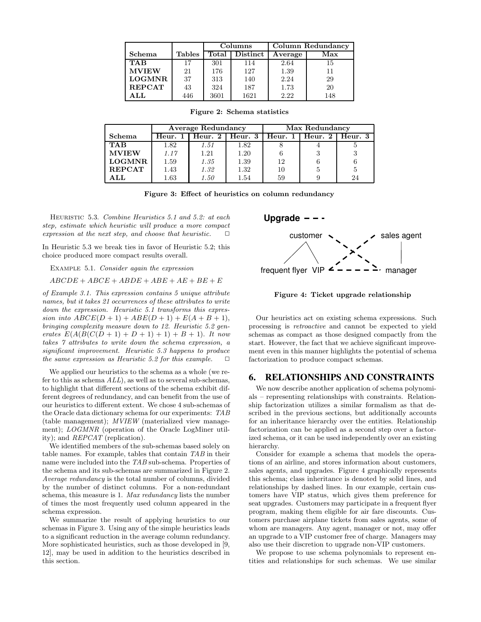|               |               | Columns |                 | Column Redundancy |             |  |
|---------------|---------------|---------|-----------------|-------------------|-------------|--|
| Schema        | <b>Tables</b> | Total   | <b>Distinct</b> | Average           | ${\rm Max}$ |  |
| <b>TAB</b>    | 17            | 301     | 114             | 2.64              | 15          |  |
| <b>MVIEW</b>  | 21            | 176     | 127             | 1.39              | 11          |  |
| LOGMNR        | 37            | 313     | 140             | 2.24              | 29          |  |
| <b>REPCAT</b> | 43            | 324     | 187             | 1.73              | 20          |  |
| ALI           | 446           | 3601    | 1621            | 2.22              | 148         |  |

Figure 2: Schema statistics

|               | <b>Average Redundancy</b> |         |          | Max Redundancy |         |         |  |
|---------------|---------------------------|---------|----------|----------------|---------|---------|--|
| Schema        | Heur. 1                   | Heur. 2 | Heur. 3  | Heur. 1        | Heur. 2 | Heur. 3 |  |
| <b>TAB</b>    | 1.82                      | 1.51    | 1.82     |                |         |         |  |
| <b>MVIEW</b>  | 1.17                      | 1.21    | 1.20     |                |         |         |  |
| <b>LOGMNR</b> | 1.59                      | 1.35    | $1.39\,$ | 12             |         |         |  |
| <b>REPCAT</b> | 1.43                      | 1.32    | 1.32     |                |         | 5       |  |
|               | 1.63                      | 1.50    | 1.54     | 59             |         | 24      |  |

Figure 3: Effect of heuristics on column redundancy

Heuristic 5.3. Combine Heuristics 5.1 and 5.2: at each step, estimate which heuristic will produce a more compact expression at the next step, and choose that heuristic.  $\Box$ 

In Heuristic 5.3 we break ties in favor of Heuristic 5.2; this choice produced more compact results overall.

Example 5.1. Consider again the expression

 $\label{eq:ABCDE} ABCDE + ABCE + ABDE + ABE + AE + BE + E$ 

of Example 3.1. This expression contains 5 unique attribute names, but it takes 21 occurrences of these attributes to write down the expression. Heuristic 5.1 transforms this expression into  $ABCE(D + 1) + ABE(D + 1) + E(A + B + 1),$ bringing complexity measure down to 12. Heuristic 5.2 generates  $E(A(B(C(D + 1) + D + 1) + 1) + B + 1)$ . It now takes 7 attributes to write down the schema expression, a significant improvement. Heuristic 5.3 happens to produce the same expression as Heuristic 5.2 for this example.  $\Box$ 

We applied our heuristics to the schema as a whole (we refer to this as schema  $ALL$ ), as well as to several sub-schemas, to highlight that different sections of the schema exhibit different degrees of redundancy, and can benefit from the use of our heuristics to different extent. We chose 4 sub-schemas of the Oracle data dictionary schema for our experiments: TAB (table management); MVIEW (materialized view management); LOGMNR (operation of the Oracle LogMiner utility); and REPCAT (replication).

We identified members of the sub-schemas based solely on table names. For example, tables that contain TAB in their name were included into the TAB sub-schema. Properties of the schema and its sub-schemas are summarized in Figure 2. Average redundancy is the total number of columns, divided by the number of distinct columns. For a non-redundant schema, this measure is 1. Max redundancy lists the number of times the most frequently used column appeared in the schema expression.

We summarize the result of applying heuristics to our schemas in Figure 3. Using any of the simple heuristics leads to a significant reduction in the average column redundancy. More sophisticated heuristics, such as those developed in [9, 12], may be used in addition to the heuristics described in this section.

# Upgrade  $- -$ customer frequent flyer  $VIP \leq - - - - - -$  manager sales agent

Figure 4: Ticket upgrade relationship

Our heuristics act on existing schema expressions. Such processing is retroactive and cannot be expected to yield schemas as compact as those designed compactly from the start. However, the fact that we achieve significant improvement even in this manner highlights the potential of schema factorization to produce compact schemas.

# **6. RELATIONSHIPS AND CONSTRAINTS**

We now describe another application of schema polynomials – representing relationships with constraints. Relationship factorization utilizes a similar formalism as that described in the previous sections, but additionally accounts for an inheritance hierarchy over the entities. Relationship factorization can be applied as a second step over a factorized schema, or it can be used independently over an existing hierarchy.

Consider for example a schema that models the operations of an airline, and stores information about customers, sales agents, and upgrades. Figure 4 graphically represents this schema; class inheritance is denoted by solid lines, and relationships by dashed lines. In our example, certain customers have VIP status, which gives them preference for seat upgrades. Customers may participate in a frequent flyer program, making them eligible for air fare discounts. Customers purchase airplane tickets from sales agents, some of whom are managers. Any agent, manager or not, may offer an upgrade to a VIP customer free of charge. Managers may also use their discretion to upgrade non-VIP customers.

We propose to use schema polynomials to represent entities and relationships for such schemas. We use similar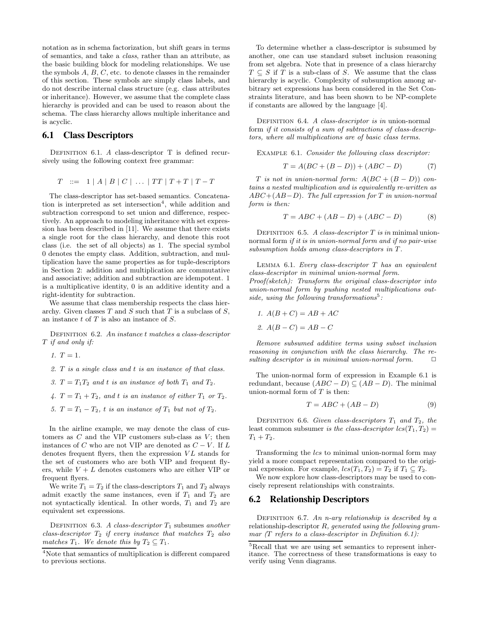notation as in schema factorization, but shift gears in terms of semantics, and take a class, rather than an attribute, as the basic building block for modeling relationships. We use the symbols  $A, B, C$ , etc. to denote classes in the remainder of this section. These symbols are simply class labels, and do not describe internal class structure (e.g. class attributes or inheritance). However, we assume that the complete class hierarchy is provided and can be used to reason about the schema. The class hierarchy allows multiple inheritance and is acyclic.

# **6.1 Class Descriptors**

DEFINITION  $6.1.$  A class-descriptor T is defined recursively using the following context free grammar:

$$
T \ ::= \ 1 \mid A \mid B \mid C \mid \ldots \mid TT \mid T + T \mid T - T
$$

The class-descriptor has set-based semantics. Concatenation is interpreted as set intersection<sup>4</sup>, while addition and subtraction correspond to set union and difference, respectively. An approach to modeling inheritance with set expression has been described in [11]. We assume that there exists a single root for the class hierarchy, and denote this root class (i.e. the set of all objects) as 1. The special symbol 0 denotes the empty class. Addition, subtraction, and multiplication have the same properties as for tuple-descriptors in Section 2: addition and multiplication are commutative and associative; addition and subtraction are idempotent. 1 is a multiplicative identity, 0 is an additive identity and a right-identity for subtraction.

We assume that class membership respects the class hierarchy. Given classes  $T$  and  $S$  such that  $T$  is a subclass of  $S$ , an instance  $t$  of  $T$  is also an instance of  $S$ .

DEFINITION 6.2. An instance t matches a class-descriptor T if and only if:

- 1.  $T = 1$ .
- 2. T is a single class and t is an instance of that class.
- 3.  $T = T_1T_2$  and t is an instance of both  $T_1$  and  $T_2$ .
- 4.  $T = T_1 + T_2$ , and t is an instance of either  $T_1$  or  $T_2$ .
- 5.  $T = T_1 T_2$ , t is an instance of  $T_1$  but not of  $T_2$ .

In the airline example, we may denote the class of customers as  $C$  and the VIP customers sub-class as  $V$ ; then instances of C who are not VIP are denoted as  $C - V$ . If L denotes frequent flyers, then the expression  $VL$  stands for the set of customers who are both VIP and frequent flyers, while  $V + L$  denotes customers who are either VIP or frequent flyers.

We write  $T_1 = T_2$  if the class-descriptors  $T_1$  and  $T_2$  always admit exactly the same instances, even if  $T_1$  and  $T_2$  are not syntactically identical. In other words,  $T_1$  and  $T_2$  are equivalent set expressions.

DEFINITION 6.3. A class-descriptor  $T_1$  subsumes another class-descriptor  $T_2$  if every instance that matches  $T_2$  also matches  $T_1$ . We denote this by  $T_2 \subseteq T_1$ .

To determine whether a class-descriptor is subsumed by another, one can use standard subset inclusion reasoning from set algebra. Note that in presence of a class hierarchy  $T \subseteq S$  if T is a sub-class of S. We assume that the class hierarchy is acyclic. Complexity of subsumption among arbitrary set expressions has been considered in the Set Constraints literature, and has been shown to be NP-complete if constants are allowed by the language [4].

DEFINITION 6.4. A class-descriptor is in union-normal form if it consists of a sum of subtractions of class-descriptors, where all multiplications are of basic class terms.

EXAMPLE 6.1. Consider the following class descriptor:

$$
T = A(BC + (B - D)) + (ABC - D) \tag{7}
$$

T is not in union-normal form:  $A(BC + (B - D))$  contains a nested multiplication and is equivalently re-written as  $ABC+(AB-D)$ . The full expression for T in union-normal form is then:

$$
T = ABC + (AB - D) + (ABC - D) \tag{8}
$$

DEFINITION 6.5. A class-descriptor  $T$  is in minimal unionnormal form if it is in union-normal form and if no pair-wise subsumption holds among class-descriptors in T.

LEMMA  $6.1.$  Every class-descriptor  $T$  has an equivalent class-descriptor in minimal union-normal form.

Proof(sketch): Transform the original class-descriptor into union-normal form by pushing nested multiplications outside, using the following transformations<sup>5</sup>:

\n- $$
A(B + C) = AB + AC
$$
\n- $A(B - C) = AB - C$
\n

Remove subsumed additive terms using subset inclusion reasoning in conjunction with the class hierarchy. The resulting descriptor is in minimal union-normal form.  $\Box$ 

The union-normal form of expression in Example 6.1 is redundant, because  $(ABC - D) \subseteq (AB - D)$ . The minimal union-normal form of  $T$  is then:

$$
T = ABC + (AB - D) \tag{9}
$$

DEFINITION 6.6. Given class-descriptors  $T_1$  and  $T_2$ , the least common subsumer is the class-descriptor  $lcs(T_1, T_2)$  =  $T_1 + T_2$ .

Transforming the lcs to minimal union-normal form may yield a more compact representation compared to the original expression. For example,  $lcs(T_1, T_2) = T_2$  if  $T_1 \subseteq T_2$ .

We now explore how class-descriptors may be used to concisely represent relationships with constraints.

#### **6.2 Relationship Descriptors**

DEFINITION 6.7. An n-ary relationship is described by a relationship-descriptor  $R$ , generated using the following grammar  $(T$  refers to a class-descriptor in Definition 6.1):

<sup>4</sup>Note that semantics of multiplication is different compared to previous sections.

<sup>5</sup>Recall that we are using set semantics to represent inheritance. The correctness of these transformations is easy to verify using Venn diagrams.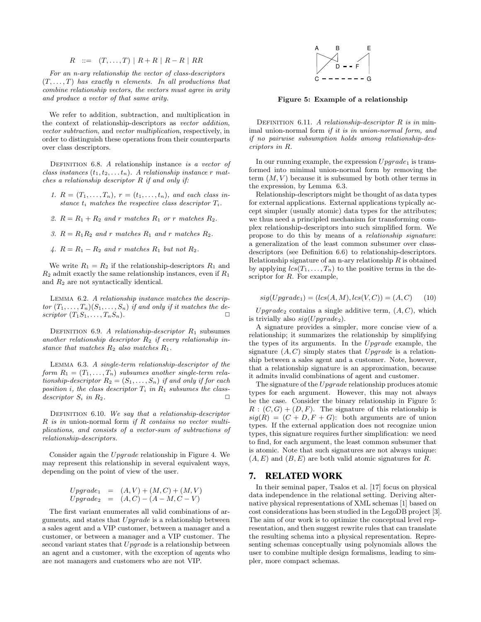$$
R \ ::= \ (T, \ldots, T) \mid R + R \mid R - R \mid RR
$$

For an n-ary relationship the vector of class-descriptors  $(T, \ldots, T)$  has exactly n elements. In all productions that combine relationship vectors, the vectors must agree in arity and produce a vector of that same arity.

We refer to addition, subtraction, and multiplication in the context of relationship-descriptors as vector addition, vector subtraction, and vector multiplication, respectively, in order to distinguish these operations from their counterparts over class descriptors.

DEFINITION 6.8. A relationship instance is a vector of class instances  $(t_1, t_2, \ldots t_n)$ . A relationship instance r matches a relationship descriptor R if and only if:

- 1.  $R = (T_1, ..., T_n), r = (t_1, ..., t_n),$  and each class instance  $t_i$  matches the respective class descriptor  $T_i$ .
- 2.  $R = R_1 + R_2$  and r matches  $R_1$  or r matches  $R_2$ .
- 3.  $R = R_1R_2$  and r matches  $R_1$  and r matches  $R_2$ .

4.  $R = R_1 - R_2$  and r matches  $R_1$  but not  $R_2$ .

We write  $R_1 = R_2$  if the relationship-descriptors  $R_1$  and  $R_2$  admit exactly the same relationship instances, even if  $R_1$ and  $R_2$  are not syntactically identical.

Lemma 6.2. A relationship instance matches the descriptor  $(T_1, \ldots, T_n)(S_1, \ldots, S_n)$  if and only if it matches the descriptor  $(T_1S_1,\ldots,T_nS_n)$ .

DEFINITION 6.9. A relationship-descriptor  $R_1$  subsumes another relationship descriptor  $R_2$  if every relationship instance that matches  $R_2$  also matches  $R_1$ .

Lemma 6.3. A single-term relationship-descriptor of the form  $R_1 = (T_1, \ldots, T_n)$  subsumes another single-term relationship-descriptor  $R_2 = (S_1, \ldots, S_n)$  if and only if for each position i, the class descriptor  $T_i$  in  $R_1$  subsumes the classdescriptor  $S_i$  in  $R_2$ .

DEFINITION 6.10. We say that a relationship-descriptor  $R$  is in union-normal form if  $R$  contains no vector multiplications, and consists of a vector-sum of subtractions of relationship-descriptors.

Consider again the Upgrade relationship in Figure 4. We may represent this relationship in several equivalent ways, depending on the point of view of the user.

$$
Upgrade_1 = (A, V) + (M, C) + (M, V)
$$
  

$$
Upgrade_2 = (A, C) - (A - M, C - V)
$$

The first variant enumerates all valid combinations of arguments, and states that Upgrade is a relationship between a sales agent and a VIP customer, between a manager and a customer, or between a manager and a VIP customer. The second variant states that Upgrade is a relationship between an agent and a customer, with the exception of agents who are not managers and customers who are not VIP.



Figure 5: Example of a relationship

DEFINITION 6.11. A relationship-descriptor  $R$  is in minimal union-normal form if it is in union-normal form, and if no pairwise subsumption holds among relationship-descriptors in R.

In our running example, the expression  $Upgrade_1$  is transformed into minimal union-normal form by removing the term  $(M, V)$  because it is subsumed by both other terms in the expression, by Lemma 6.3.

Relationship-descriptors might be thought of as data types for external applications. External applications typically accept simpler (usually atomic) data types for the attributes; we thus need a principled mechanism for transforming complex relationship-descriptors into such simplified form. We propose to do this by means of a relationship signature: a generalization of the least common subsumer over classdescriptors (see Definition 6.6) to relationship-descriptors. Relationship signature of an n-ary relationship  $R$  is obtained by applying  $lcs(T_1, \ldots, T_n)$  to the positive terms in the descriptor for R. For example,

$$
sig(Upgrade_1) = (lcs(A, M), lcs(V, C)) = (A, C) \tag{10}
$$

Upgrade<sub>2</sub> contains a single additive term,  $(A, C)$ , which is trivially also  $sig(Upgrade_2)$ .

A signature provides a simpler, more concise view of a relationship; it summarizes the relationship by simplifying the types of its arguments. In the Upgrade example, the signature  $(A, C)$  simply states that  $Upgrade$  is a relationship between a sales agent and a customer. Note, however, that a relationship signature is an approximation, because it admits invalid combinations of agent and customer.

The signature of the Upgrade relationship produces atomic types for each argument. However, this may not always be the case. Consider the binary relationship in Figure 5:  $R:(C, G) + (D, F)$ . The signature of this relationship is  $sig(R) = (C + D, F + G)$ : both arguments are of union types. If the external application does not recognize union types, this signature requires further simplification: we need to find, for each argument, the least common subsumer that is atomic. Note that such signatures are not always unique:  $(A, E)$  and  $(B, E)$  are both valid atomic signatures for R.

## **7. RELATED WORK**

In their seminal paper, Tsalos et al. [17] focus on physical data independence in the relational setting. Deriving alternative physical representations of XML schemas [1] based on cost considerations has been studied in the LegoDB project [3]. The aim of our work is to optimize the conceptual level representation, and then suggest rewrite rules that can translate the resulting schema into a physical representation. Representing schemas conceptually using polynomials allows the user to combine multiple design formalisms, leading to simpler, more compact schemas.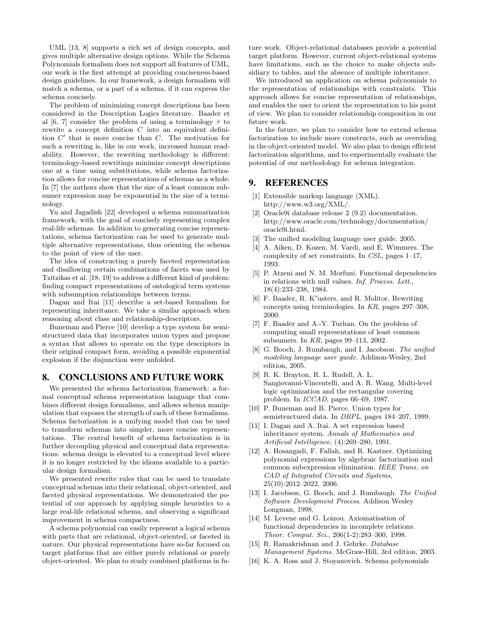UML [13, 8] supports a rich set of design concepts, and gives multiple alternative design options. While the Schema Polynomials formalism does not support all features of UML, our work is the first attempt at providing conciseness-based design guidelines. In our framework, a design formalism will match a schema, or a part of a schema, if it can express the schema concisely.

The problem of minimizing concept descriptions has been considered in the Description Logics literature. Baader et al [6, 7] consider the problem of using a terminology  $\tau$  to rewrite a concept definition C into an equivalent definition  $C'$  that is more concise than  $C$ . The motivation for such a rewriting is, like in our work, increased human readability. However, the rewriting methodology is different: terminology-based rewritings minimize concept descriptions one at a time using substitutions, while schema factorization allows for concise representations of schemas as a whole. In [7] the authors show that the size of a least common subsumer expression may be exponential in the size of a terminology.

Yu and Jagadish [22] developed a schema summarization framework, with the goal of concisely representing complex real-life schemas. In addition to generating concise representations, schema factorization can be used to generate multiple alternative representations, thus orienting the schema to the point of view of the user.

The idea of constructing a purely faceted representation and disallowing certain combinations of facets was used by Tzitzikas et al. [18, 19] to address a different kind of problem: finding compact representations of ontological term systems with subsumption relationships between terms.

Dagan and Itai [11] describe a set-based formalism for representing inheritance. We take a similar approach when reasoning about class and relationship-descriptors.

Buneman and Pierce [10] develop a type system for semistructured data that incorporates union types and propose a syntax that allows to operate on the type descriptors in their original compact form, avoiding a possible exponential explosion if the disjunction were unfolded.

# **8. CONCLUSIONS AND FUTURE WORK**

We presented the schema factorization framework: a formal conceptual schema representation language that combines different design formalisms, and allows schema manipulation that exposes the strength of each of these formalisms. Schema factorization is a unifying model that can be used to transform schemas into simpler, more concise representations. The central benefit of schema factorization is in further decoupling physical and conceptual data representations: schema design is elevated to a conceptual level where it is no longer restricted by the idioms available to a particular design formalism.

We presented rewrite rules that can be used to translate conceptual schemas into their relational, object-oriented, and faceted physical representations. We demonstrated the potential of our approach by applying simple heuristics to a large real-life relational schema, and observing a significant improvement in schema compactness.

A schema polynomial can easily represent a logical schema with parts that are relational, object-oriented, or faceted in nature. Our physical representations have so-far focused on target platforms that are either purely relational or purely object-oriented. We plan to study combined platforms in future work. Object-relational databases provide a potential target platform. However, current object-relational systems have limitations, such as the choice to make objects subsidiary to tables, and the absence of multiple inheritance.

We introduced an application on schema polynomials to the representation of relationships with constraints. This approach allows for concise representation of relationships, and enables the user to orient the representation to his point of view. We plan to consider relationship composition in our future work.

In the future, we plan to consider how to extend schema factorization to include more constructs, such as overriding in the object-oriented model. We also plan to design efficient factorization algorithms, and to experimentally evaluate the potential of our methodology for schema integration.

# **9. REFERENCES**

- [1] Extensible markup language (XML). http://www.w3.org/XML/.
- [2] Oracle9i database release 2 (9.2) documentation. http://www.oracle.com/technology/documentation/ oracle9i.html.
- [3] The unified modeling language user guide. 2005.
- [4] A. Aiken, D. Kozen, M. Vardi, and E. Wimmers. The complexity of set constraints. In CSL, pages 1–17, 1993.
- [5] P. Atzeni and N. M. Morfuni. Functional dependencies in relations with null values. Inf. Process. Lett., 18(4):233–238, 1984.
- [6] F. Baader, R. K"usters, and R. Molitor. Rewriting concepts using terminologies. In KR, pages 297–308, 2000.
- [7] F. Baader and A.-Y. Turhan. On the problem of computing small representations of least common subsumers. In KR, pages 99–113, 2002.
- [8] G. Booch, J. Rumbaugh, and I. Jacobson. The unified modeling language user guide. Addison-Wesley, 2nd edition, 2005.
- [9] R. K. Brayton, R. L. Rudell, A. L. Sangiovanni-Vincentelli, and A. R. Wang. Multi-level logic optimization and the rectangular covering problem. In ICCAD, pages 66–69, 1987.
- [10] P. Buneman and B. Pierce. Union types for semistructured data. In DBPL, pages 184–207, 1999.
- [11] I. Dagan and A. Itai. A set expression based inheritance system. Annals of Mathematics and Artificial Intelligence, (4):269–280, 1991.
- [12] A. Hosangadi, F. Fallah, and R. Kastner. Optimizing polynomial expressions by algebraic factorization and common subexpression elimination. IEEE Trans. on CAD of Integrated Circuits and Systems, 25(10):2012–2022, 2006.
- [13] I. Jacobson, G. Booch, and J. Rumbaugh. The Unified Software Development Process. Addison Wesley Longman, 1998.
- [14] M. Levene and G. Loizou. Axiomatisation of functional dependencies in incomplete relations. Theor. Comput. Sci., 206(1-2):283–300, 1998.
- [15] R. Ramakrishnan and J. Gehrke. Database Management Systems. McGraw-Hill, 3rd edition, 2003.
- [16] K. A. Ross and J. Stoyanovich. Schema polynomials